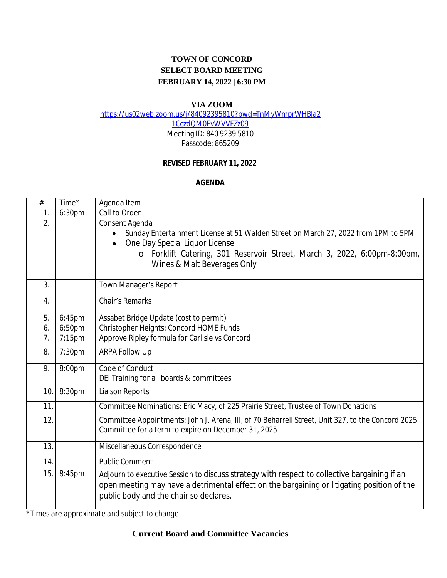# **TOWN OF CONCORD SELECT BOARD MEETING FEBRUARY 14, 2022 | 6:30 PM**

#### **VIA ZOOM**

[https://us02web.zoom.us/j/84092395810?pwd=TnMyWmprWHBla2](https://us02web.zoom.us/j/84092395810?pwd=TnMyWmprWHBla21CczdQM0EvWVVFZz09)

1CczdQM0EvWVVFZz09

Meeting ID: 840 9239 5810 Passcode: 865209

### **REVISED FEBRUARY 11, 2022**

#### **AGENDA**

| #   | Time*  | Agenda Item                                                                                       |
|-----|--------|---------------------------------------------------------------------------------------------------|
| 1.  | 6:30pm | Call to Order                                                                                     |
| 2.  |        | Consent Agenda                                                                                    |
|     |        | Sunday Entertainment License at 51 Walden Street on March 27, 2022 from 1PM to 5PM                |
|     |        | One Day Special Liquor License                                                                    |
|     |        | o Forklift Catering, 301 Reservoir Street, March 3, 2022, 6:00pm-8:00pm,                          |
|     |        | Wines & Malt Beverages Only                                                                       |
|     |        |                                                                                                   |
| 3.  |        | Town Manager's Report                                                                             |
| 4.  |        | Chair's Remarks                                                                                   |
| 5.  | 6:45pm | Assabet Bridge Update (cost to permit)                                                            |
| 6.  | 6:50pm | Christopher Heights: Concord HOME Funds                                                           |
| 7.  | 7:15pm | Approve Ripley formula for Carlisle vs Concord                                                    |
| 8.  | 7:30pm | <b>ARPA Follow Up</b>                                                                             |
| 9.  | 8:00pm | Code of Conduct                                                                                   |
|     |        | DEI Training for all boards & committees                                                          |
| 10. | 8:30pm | <b>Liaison Reports</b>                                                                            |
| 11. |        | Committee Nominations: Eric Macy, of 225 Prairie Street, Trustee of Town Donations                |
| 12. |        | Committee Appointments: John J. Arena, III, of 70 Beharrell Street, Unit 327, to the Concord 2025 |
|     |        | Committee for a term to expire on December 31, 2025                                               |
| 13. |        | Miscellaneous Correspondence                                                                      |
| 14. |        | <b>Public Comment</b>                                                                             |
| 15. | 8:45pm | Adjourn to executive Session to discuss strategy with respect to collective bargaining if an      |
|     |        | open meeting may have a detrimental effect on the bargaining or litigating position of the        |
|     |        | public body and the chair so declares.                                                            |
|     |        |                                                                                                   |

*\*Times are approximate and subject to change*

## **Current Board and Committee Vacancies**